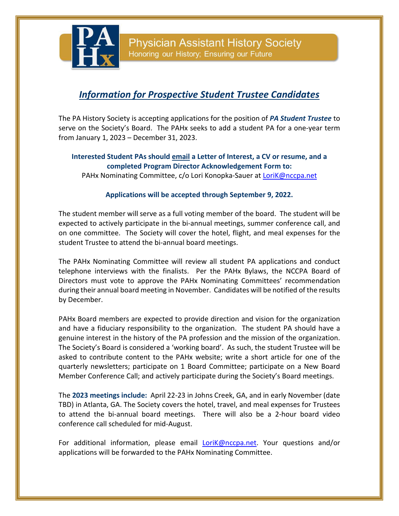**Physician Assistant History Society** Honoring our History; Ensuring our Future

# *Information for Prospective Student Trustee Candidates*

The PA History Society is accepting applications for the position of *PA Student Trustee* to serve on the Society's Board. The PAHx seeks to add a student PA for a one-year term from January 1, 2023 – December 31, 2023.

#### **Interested Student PAs should email a Letter of Interest, a CV or resume, and a completed Program Director Acknowledgement Form to:**

PAHx Nominating Committee, c/o Lori Konopka-Sauer at [LoriK@nccpa.net](mailto:LoriK@nccpa.net)

#### **Applications will be accepted through September 9, 2022.**

The student member will serve as a full voting member of the board. The student will be expected to actively participate in the bi-annual meetings, summer conference call, and on one committee. The Society will cover the hotel, flight, and meal expenses for the student Trustee to attend the bi-annual board meetings.

The PAHx Nominating Committee will review all student PA applications and conduct telephone interviews with the finalists. Per the PAHx Bylaws, the NCCPA Board of Directors must vote to approve the PAHx Nominating Committees' recommendation during their annual board meeting in November. Candidates will be notified of the results by December.

PAHx Board members are expected to provide direction and vision for the organization and have a fiduciary responsibility to the organization. The student PA should have a genuine interest in the history of the PA profession and the mission of the organization. The Society's Board is considered a 'working board'. As such, the student Trustee will be asked to contribute content to the PAHx website; write a short article for one of the quarterly newsletters; participate on 1 Board Committee; participate on a New Board Member Conference Call; and actively participate during the Society's Board meetings.

The **2023 meetings include:** April 22-23 in Johns Creek, GA, and in early November (date TBD) in Atlanta, GA. The Society covers the hotel, travel, and meal expenses for Trustees to attend the bi-annual board meetings. There will also be a 2-hour board video conference call scheduled for mid-August.

For additional information, please email **LoriK@nccpa.net**. Your questions and/or applications will be forwarded to the PAHx Nominating Committee.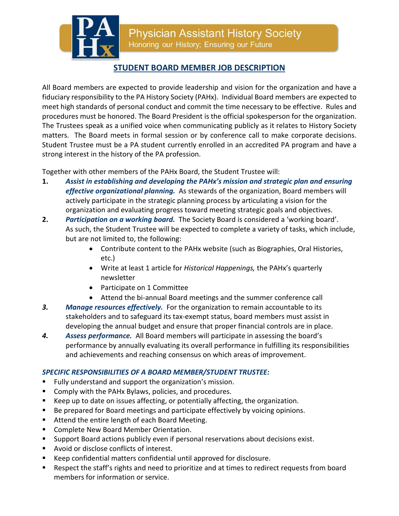**Physician Assistant History Society** Honoring our History; Ensuring our Future

# **STUDENT BOARD MEMBER JOB DESCRIPTION**

All Board members are expected to provide leadership and vision for the organization and have a fiduciary responsibility to the PA History Society (PAHx). Individual Board members are expected to meet high standards of personal conduct and commit the time necessary to be effective. Rules and procedures must be honored. The Board President is the official spokesperson for the organization. The Trustees speak as a unified voice when communicating publicly as it relates to History Society matters. The Board meets in formal session or by conference call to make corporate decisions. Student Trustee must be a PA student currently enrolled in an accredited PA program and have a strong interest in the history of the PA profession.

Together with other members of the PAHx Board, the Student Trustee will:

- **1.** *Assist in establishing and developing the PAHx's mission and strategic plan and ensuring effective organizational planning.* As stewards of the organization, Board members will actively participate in the strategic planning process by articulating a vision for the organization and evaluating progress toward meeting strategic goals and objectives.
- **2.** *Participation on a working board.* The Society Board is considered a 'working board'. As such, the Student Trustee will be expected to complete a variety of tasks, which include, but are not limited to, the following:
	- Contribute content to the PAHx website (such as Biographies, Oral Histories, etc.)
	- Write at least 1 article for *Historical Happenings,* the PAHx's quarterly newsletter
	- Participate on 1 Committee
	- Attend the bi-annual Board meetings and the summer conference call
- *3. Manage resources effectively.* For the organization to remain accountable to its stakeholders and to safeguard its tax-exempt status, board members must assist in developing the annual budget and ensure that proper financial controls are in place.
- *4. Assess performance.* All Board members will participate in assessing the board's performance by annually evaluating its overall performance in fulfilling its responsibilities and achievements and reaching consensus on which areas of improvement.

### *SPECIFIC RESPONSIBILITIES OF A BOARD MEMBER/STUDENT TRUSTEE:*

- Fully understand and support the organization's mission.
- **Comply with the PAHx Bylaws, policies, and procedures.**
- Keep up to date on issues affecting, or potentially affecting, the organization.
- Be prepared for Board meetings and participate effectively by voicing opinions.
- Attend the entire length of each Board Meeting.
- **Complete New Board Member Orientation.**
- Support Board actions publicly even if personal reservations about decisions exist.
- **Avoid or disclose conflicts of interest.**
- Keep confidential matters confidential until approved for disclosure.
- **Respect the staff's rights and need to prioritize and at times to redirect requests from board** members for information or service.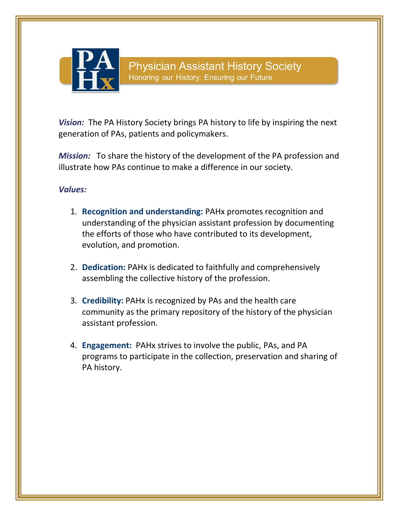

*Vision:* The PA History Society brings PA history to life by inspiring the next generation of PAs, patients and policymakers.

*Mission:* To share the history of the development of the PA profession and illustrate how PAs continue to make a difference in our society.

### *Values:*

- 1. **Recognition and understanding:** PAHx promotes recognition and understanding of the physician assistant profession by documenting the efforts of those who have contributed to its development, evolution, and promotion.
- 2. **Dedication:** PAHx is dedicated to faithfully and comprehensively assembling the collective history of the profession.
- 3. **Credibility:** PAHx is recognized by PAs and the health care community as the primary repository of the history of the physician assistant profession.
- 4. **Engagement:** PAHx strives to involve the public, PAs, and PA programs to participate in the collection, preservation and sharing of PA history.